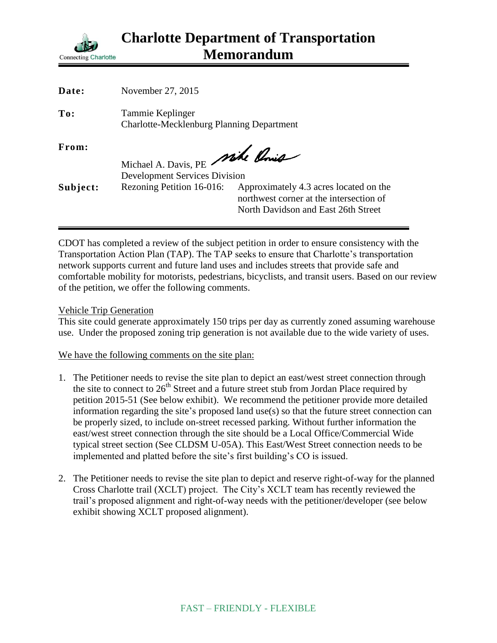

| Date:    | November 27, 2015                                                       |                                                                                                                          |
|----------|-------------------------------------------------------------------------|--------------------------------------------------------------------------------------------------------------------------|
| To:      | Tammie Keplinger<br><b>Charlotte-Mecklenburg Planning Department</b>    |                                                                                                                          |
| From:    | Michael A. Davis, PE Mike Ponis<br><b>Development Services Division</b> |                                                                                                                          |
| Subject: | Rezoning Petition 16-016:                                               | Approximately 4.3 acres located on the<br>northwest corner at the intersection of<br>North Davidson and East 26th Street |

CDOT has completed a review of the subject petition in order to ensure consistency with the Transportation Action Plan (TAP). The TAP seeks to ensure that Charlotte's transportation network supports current and future land uses and includes streets that provide safe and comfortable mobility for motorists, pedestrians, bicyclists, and transit users. Based on our review of the petition, we offer the following comments.

## Vehicle Trip Generation

This site could generate approximately 150 trips per day as currently zoned assuming warehouse use. Under the proposed zoning trip generation is not available due to the wide variety of uses.

## We have the following comments on the site plan:

- 1. The Petitioner needs to revise the site plan to depict an east/west street connection through the site to connect to  $26<sup>th</sup>$  Street and a future street stub from Jordan Place required by petition 2015-51 (See below exhibit). We recommend the petitioner provide more detailed information regarding the site's proposed land use(s) so that the future street connection can be properly sized, to include on-street recessed parking. Without further information the east/west street connection through the site should be a Local Office/Commercial Wide typical street section (See CLDSM U-05A). This East/West Street connection needs to be implemented and platted before the site's first building's CO is issued.
- 2. The Petitioner needs to revise the site plan to depict and reserve right-of-way for the planned Cross Charlotte trail (XCLT) project. The City's XCLT team has recently reviewed the trail's proposed alignment and right-of-way needs with the petitioner/developer (see below exhibit showing XCLT proposed alignment).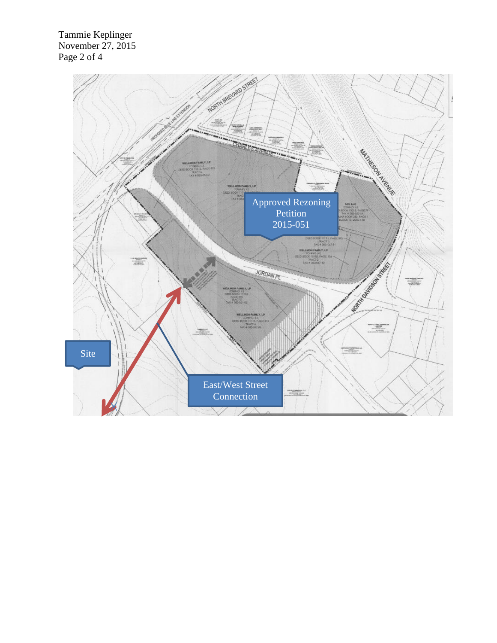Tammie Keplinger November 27, 2015 Page 2 of 4

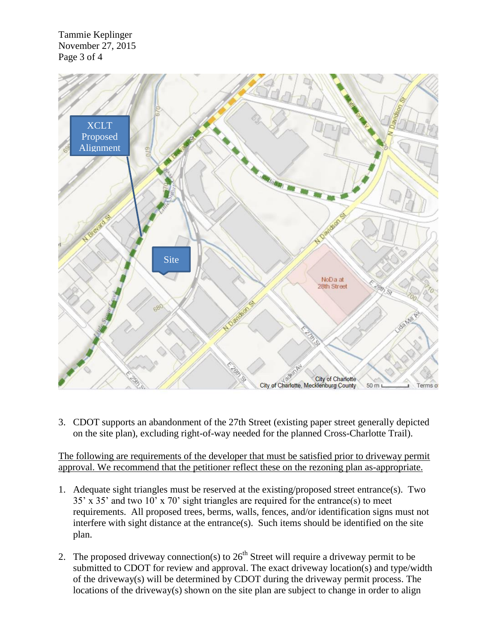Tammie Keplinger November 27, 2015 Page 3 of 4



3. CDOT supports an abandonment of the 27th Street (existing paper street generally depicted on the site plan), excluding right-of-way needed for the planned Cross-Charlotte Trail).

The following are requirements of the developer that must be satisfied prior to driveway permit approval. We recommend that the petitioner reflect these on the rezoning plan as-appropriate.

- 1. Adequate sight triangles must be reserved at the existing/proposed street entrance(s). Two 35' x 35' and two 10' x 70' sight triangles are required for the entrance(s) to meet requirements. All proposed trees, berms, walls, fences, and/or identification signs must not interfere with sight distance at the entrance(s). Such items should be identified on the site plan.
- 2. The proposed driveway connection(s) to  $26<sup>th</sup>$  Street will require a driveway permit to be submitted to CDOT for review and approval. The exact driveway location(s) and type/width of the driveway(s) will be determined by CDOT during the driveway permit process. The locations of the driveway(s) shown on the site plan are subject to change in order to align